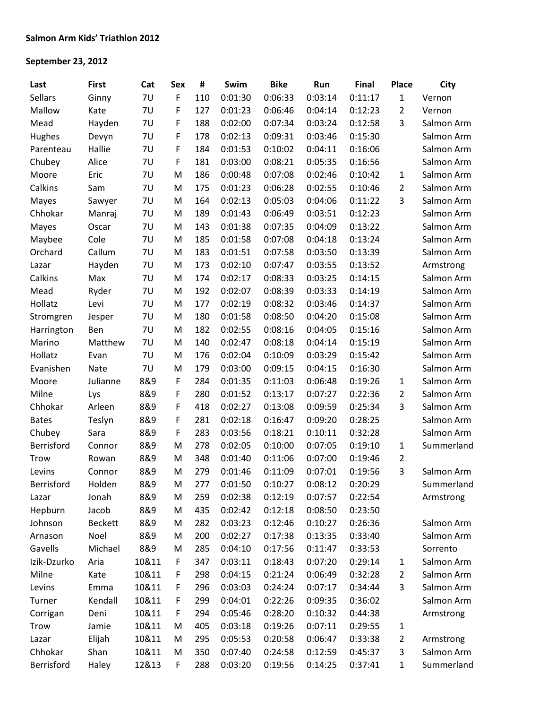## **September 23, 2012**

| Last           | <b>First</b>   | Cat       | Sex         | #   | Swim    | <b>Bike</b> | Run     | <b>Final</b> | <b>Place</b>   | City       |
|----------------|----------------|-----------|-------------|-----|---------|-------------|---------|--------------|----------------|------------|
| <b>Sellars</b> | Ginny          | 7U        | F           | 110 | 0:01:30 | 0:06:33     | 0:03:14 | 0:11:17      | $\mathbf{1}$   | Vernon     |
| Mallow         | Kate           | 7U        | F           | 127 | 0:01:23 | 0:06:46     | 0:04:14 | 0:12:23      | $\overline{2}$ | Vernon     |
| Mead           | Hayden         | <b>7U</b> | F           | 188 | 0:02:00 | 0:07:34     | 0:03:24 | 0:12:58      | 3              | Salmon Arm |
| Hughes         | Devyn          | 7U        | F           | 178 | 0:02:13 | 0:09:31     | 0:03:46 | 0:15:30      |                | Salmon Arm |
| Parenteau      | Hallie         | 7U        | F           | 184 | 0:01:53 | 0:10:02     | 0:04:11 | 0:16:06      |                | Salmon Arm |
| Chubey         | Alice          | 7U        | F           | 181 | 0:03:00 | 0:08:21     | 0:05:35 | 0:16:56      |                | Salmon Arm |
| Moore          | Eric           | 7U        | M           | 186 | 0:00:48 | 0:07:08     | 0:02:46 | 0:10:42      | $\mathbf{1}$   | Salmon Arm |
| Calkins        | Sam            | <b>7U</b> | M           | 175 | 0:01:23 | 0:06:28     | 0:02:55 | 0:10:46      | $\overline{2}$ | Salmon Arm |
| Mayes          | Sawyer         | 7U        | M           | 164 | 0:02:13 | 0:05:03     | 0:04:06 | 0:11:22      | 3              | Salmon Arm |
| Chhokar        | Manraj         | 7U        | M           | 189 | 0:01:43 | 0:06:49     | 0:03:51 | 0:12:23      |                | Salmon Arm |
| Mayes          | Oscar          | 7U        | M           | 143 | 0:01:38 | 0:07:35     | 0:04:09 | 0:13:22      |                | Salmon Arm |
| Maybee         | Cole           | <b>7U</b> | M           | 185 | 0:01:58 | 0:07:08     | 0:04:18 | 0:13:24      |                | Salmon Arm |
| Orchard        | Callum         | <b>7U</b> | M           | 183 | 0:01:51 | 0:07:58     | 0:03:50 | 0:13:39      |                | Salmon Arm |
| Lazar          | Hayden         | 7U        | M           | 173 | 0:02:10 | 0:07:47     | 0:03:55 | 0:13:52      |                | Armstrong  |
| Calkins        | Max            | 7U        | M           | 174 | 0:02:17 | 0:08:33     | 0:03:25 | 0:14:15      |                | Salmon Arm |
| Mead           | Ryder          | 7U        | M           | 192 | 0:02:07 | 0:08:39     | 0:03:33 | 0:14:19      |                | Salmon Arm |
| Hollatz        | Levi           | 7U        | M           | 177 | 0:02:19 | 0:08:32     | 0:03:46 | 0:14:37      |                | Salmon Arm |
| Stromgren      | Jesper         | <b>7U</b> | M           | 180 | 0:01:58 | 0:08:50     | 0:04:20 | 0:15:08      |                | Salmon Arm |
| Harrington     | Ben            | 7U        | M           | 182 | 0:02:55 | 0:08:16     | 0:04:05 | 0:15:16      |                | Salmon Arm |
| Marino         | Matthew        | 7U        | M           | 140 | 0:02:47 | 0:08:18     | 0:04:14 | 0:15:19      |                | Salmon Arm |
| Hollatz        | Evan           | 7U        | M           | 176 | 0:02:04 | 0:10:09     | 0:03:29 | 0:15:42      |                | Salmon Arm |
| Evanishen      | <b>Nate</b>    | 7U        | M           | 179 | 0:03:00 | 0:09:15     | 0:04:15 | 0:16:30      |                | Salmon Arm |
| Moore          | Julianne       | 8&9       | F           | 284 | 0:01:35 | 0:11:03     | 0:06:48 | 0:19:26      | $\mathbf{1}$   | Salmon Arm |
| Milne          | Lys            | 8&9       | F           | 280 | 0:01:52 | 0:13:17     | 0:07:27 | 0:22:36      | $\overline{2}$ | Salmon Arm |
| Chhokar        | Arleen         | 8&9       | F           | 418 | 0:02:27 | 0:13:08     | 0:09:59 | 0:25:34      | 3              | Salmon Arm |
| <b>Bates</b>   | Teslyn         | 8&9       | F           | 281 | 0:02:18 | 0:16:47     | 0:09:20 | 0:28:25      |                | Salmon Arm |
| Chubey         | Sara           | 8&9       | F           | 283 | 0:03:56 | 0:18:21     | 0:10:11 | 0:32:28      |                | Salmon Arm |
| Berrisford     | Connor         | 8&9       | M           | 278 | 0:02:05 | 0:10:00     | 0:07:05 | 0:19:10      | $\mathbf{1}$   | Summerland |
| <b>Trow</b>    | Rowan          | 8&9       | M           | 348 | 0:01:40 | 0:11:06     | 0:07:00 | 0:19:46      | $\overline{2}$ |            |
| Levins         | Connor         | 8&9       | M           | 279 | 0:01:46 | 0:11:09     | 0:07:01 | 0:19:56      | 3              | Salmon Arm |
| Berrisford     | Holden         | 8&9       | ${\sf M}$   | 277 | 0:01:50 | 0:10:27     | 0:08:12 | 0:20:29      |                | Summerland |
| Lazar          | Jonah          | 8&9       | M           | 259 | 0:02:38 | 0:12:19     | 0:07:57 | 0:22:54      |                | Armstrong  |
| Hepburn        | Jacob          | 8&9       | M           | 435 | 0:02:42 | 0:12:18     | 0:08:50 | 0:23:50      |                |            |
| Johnson        | <b>Beckett</b> | 8&9       | M           | 282 | 0:03:23 | 0:12:46     | 0:10:27 | 0:26:36      |                | Salmon Arm |
| Arnason        | Noel           | 8&9       | M           | 200 | 0:02:27 | 0:17:38     | 0:13:35 | 0:33:40      |                | Salmon Arm |
| Gavells        | Michael        | 8&9       | M           | 285 | 0:04:10 | 0:17:56     | 0:11:47 | 0:33:53      |                | Sorrento   |
| Izik-Dzurko    | Aria           | 10&11     | F           | 347 | 0:03:11 | 0:18:43     | 0:07:20 | 0:29:14      | $\mathbf{1}$   | Salmon Arm |
| Milne          | Kate           | 10&11     | F           | 298 | 0:04:15 | 0:21:24     | 0:06:49 | 0:32:28      | $\overline{2}$ | Salmon Arm |
| Levins         | Emma           | 10&11     | $\mathsf F$ | 296 | 0:03:03 | 0:24:24     | 0:07:17 | 0:34:44      | 3              | Salmon Arm |
| Turner         | Kendall        | 10&11     | F           | 299 | 0:04:01 | 0:22:26     | 0:09:35 | 0:36:02      |                | Salmon Arm |
| Corrigan       | Deni           | 10&11     | F           | 294 | 0:05:46 | 0:28:20     | 0:10:32 | 0:44:38      |                | Armstrong  |
| <b>Trow</b>    | Jamie          | 10&11     | M           | 405 | 0:03:18 | 0:19:26     | 0:07:11 | 0:29:55      | $\mathbf{1}$   |            |
| Lazar          | Elijah         | 10&11     | M           | 295 | 0:05:53 | 0:20:58     | 0:06:47 | 0:33:38      | $\overline{2}$ | Armstrong  |
| Chhokar        | Shan           | 10&11     | M           | 350 | 0:07:40 | 0:24:58     | 0:12:59 | 0:45:37      | 3              | Salmon Arm |
| Berrisford     | Haley          | 12&13     | F           | 288 | 0:03:20 | 0:19:56     | 0:14:25 | 0:37:41      | $\mathbf{1}$   | Summerland |
|                |                |           |             |     |         |             |         |              |                |            |